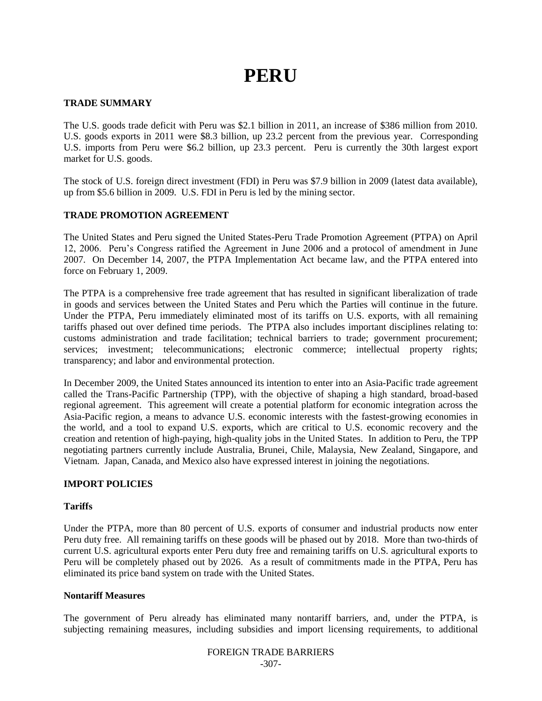# **PERU**

## **TRADE SUMMARY**

The U.S. goods trade deficit with Peru was \$2.1 billion in 2011, an increase of \$386 million from 2010. U.S. goods exports in 2011 were \$8.3 billion, up 23.2 percent from the previous year. Corresponding U.S. imports from Peru were \$6.2 billion, up 23.3 percent. Peru is currently the 30th largest export market for U.S. goods.

The stock of U.S. foreign direct investment (FDI) in Peru was \$7.9 billion in 2009 (latest data available), up from \$5.6 billion in 2009. U.S. FDI in Peru is led by the mining sector.

## **TRADE PROMOTION AGREEMENT**

The United States and Peru signed the United States-Peru Trade Promotion Agreement (PTPA) on April 12, 2006. Peru"s Congress ratified the Agreement in June 2006 and a protocol of amendment in June 2007. On December 14, 2007, the PTPA Implementation Act became law, and the PTPA entered into force on February 1, 2009.

The PTPA is a comprehensive free trade agreement that has resulted in significant liberalization of trade in goods and services between the United States and Peru which the Parties will continue in the future. Under the PTPA, Peru immediately eliminated most of its tariffs on U.S. exports, with all remaining tariffs phased out over defined time periods. The PTPA also includes important disciplines relating to: customs administration and trade facilitation; technical barriers to trade; government procurement; services; investment; telecommunications; electronic commerce; intellectual property rights; transparency; and labor and environmental protection.

In December 2009, the United States announced its intention to enter into an Asia-Pacific trade agreement called the Trans-Pacific Partnership (TPP), with the objective of shaping a high standard, broad-based regional agreement. This agreement will create a potential platform for economic integration across the Asia-Pacific region, a means to advance U.S. economic interests with the fastest-growing economies in the world, and a tool to expand U.S. exports, which are critical to U.S. economic recovery and the creation and retention of high-paying, high-quality jobs in the United States. In addition to Peru, the TPP negotiating partners currently include Australia, Brunei, Chile, Malaysia, New Zealand, Singapore, and Vietnam. Japan, Canada, and Mexico also have expressed interest in joining the negotiations.

## **IMPORT POLICIES**

## **Tariffs**

Under the PTPA, more than 80 percent of U.S. exports of consumer and industrial products now enter Peru duty free. All remaining tariffs on these goods will be phased out by 2018. More than two-thirds of current U.S. agricultural exports enter Peru duty free and remaining tariffs on U.S. agricultural exports to Peru will be completely phased out by 2026. As a result of commitments made in the PTPA, Peru has eliminated its price band system on trade with the United States.

## **Nontariff Measures**

The government of Peru already has eliminated many nontariff barriers, and, under the PTPA, is subjecting remaining measures, including subsidies and import licensing requirements, to additional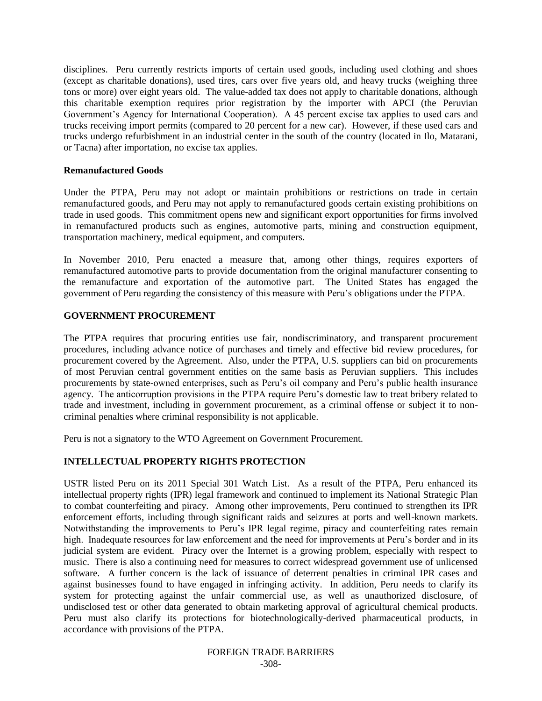disciplines. Peru currently restricts imports of certain used goods, including used clothing and shoes (except as charitable donations), used tires, cars over five years old, and heavy trucks (weighing three tons or more) over eight years old. The value-added tax does not apply to charitable donations, although this charitable exemption requires prior registration by the importer with APCI (the Peruvian Government's Agency for International Cooperation). A 45 percent excise tax applies to used cars and trucks receiving import permits (compared to 20 percent for a new car). However, if these used cars and trucks undergo refurbishment in an industrial center in the south of the country (located in Ilo, Matarani, or Tacna) after importation, no excise tax applies.

## **Remanufactured Goods**

Under the PTPA, Peru may not adopt or maintain prohibitions or restrictions on trade in certain remanufactured goods, and Peru may not apply to remanufactured goods certain existing prohibitions on trade in used goods. This commitment opens new and significant export opportunities for firms involved in remanufactured products such as engines, automotive parts, mining and construction equipment, transportation machinery, medical equipment, and computers.

In November 2010, Peru enacted a measure that, among other things, requires exporters of remanufactured automotive parts to provide documentation from the original manufacturer consenting to the remanufacture and exportation of the automotive part. The United States has engaged the government of Peru regarding the consistency of this measure with Peru"s obligations under the PTPA.

## **GOVERNMENT PROCUREMENT**

The PTPA requires that procuring entities use fair, nondiscriminatory, and transparent procurement procedures, including advance notice of purchases and timely and effective bid review procedures, for procurement covered by the Agreement. Also, under the PTPA, U.S. suppliers can bid on procurements of most Peruvian central government entities on the same basis as Peruvian suppliers. This includes procurements by state-owned enterprises, such as Peru"s oil company and Peru"s public health insurance agency. The anticorruption provisions in the PTPA require Peru"s domestic law to treat bribery related to trade and investment, including in government procurement, as a criminal offense or subject it to noncriminal penalties where criminal responsibility is not applicable.

Peru is not a signatory to the WTO Agreement on Government Procurement.

## **INTELLECTUAL PROPERTY RIGHTS PROTECTION**

USTR listed Peru on its 2011 Special 301 Watch List. As a result of the PTPA, Peru enhanced its intellectual property rights (IPR) legal framework and continued to implement its National Strategic Plan to combat counterfeiting and piracy. Among other improvements, Peru continued to strengthen its IPR enforcement efforts, including through significant raids and seizures at ports and well-known markets. Notwithstanding the improvements to Peru"s IPR legal regime, piracy and counterfeiting rates remain high. Inadequate resources for law enforcement and the need for improvements at Peru"s border and in its judicial system are evident. Piracy over the Internet is a growing problem, especially with respect to music. There is also a continuing need for measures to correct widespread government use of unlicensed software. A further concern is the lack of issuance of deterrent penalties in criminal IPR cases and against businesses found to have engaged in infringing activity. In addition, Peru needs to clarify its system for protecting against the unfair commercial use, as well as unauthorized disclosure, of undisclosed test or other data generated to obtain marketing approval of agricultural chemical products. Peru must also clarify its protections for biotechnologically-derived pharmaceutical products, in accordance with provisions of the PTPA.